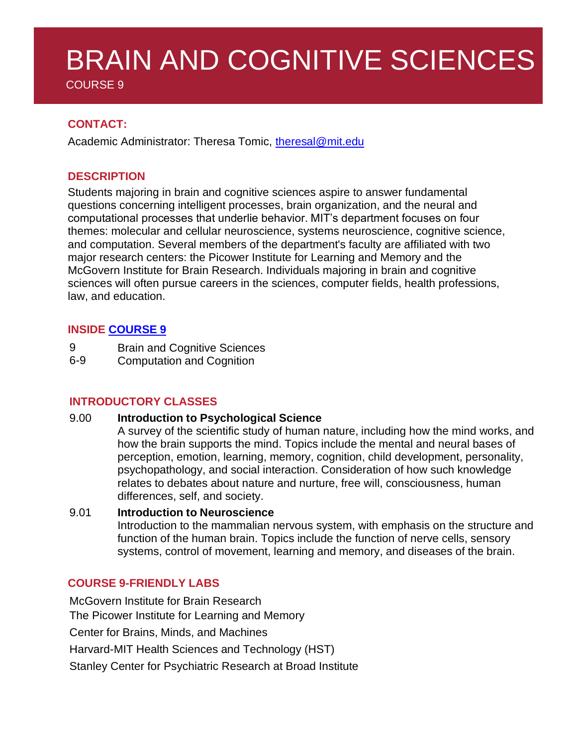# BRAIN AND COGNITIVE SCIENCES

COURSE 9

# **CONTACT:**

Academic Administrator: Theresa Tomic, [theresal@mit.edu](mailto:theresal@mit.edu)

## **DESCRIPTION**

Students majoring in brain and cognitive sciences aspire to answer fundamental questions concerning intelligent processes, brain organization, and the neural and computational processes that underlie behavior. MIT's department focuses on four themes: molecular and cellular neuroscience, systems neuroscience, cognitive science, and computation. Several members of the department's faculty are affiliated with two major research centers: the Picower Institute for Learning and Memory and the McGovern Institute for Brain Research. Individuals majoring in brain and cognitive sciences will often pursue careers in the sciences, computer fields, health professions, law, and education.

## **INSIDE [COURSE](https://bcs.mit.edu/academic-program/course-9-degree-chart) 9**

- 9 Brain and Cognitive Sciences
- 6-9 Computation and Cognition

# **INTRODUCTORY CLASSES**

9.00 **Introduction to Psychological Science**

A survey of the scientific study of human nature, including how the mind works, and how the brain supports the mind. Topics include the mental and neural bases of perception, emotion, learning, memory, cognition, child development, personality, psychopathology, and social interaction. Consideration of how such knowledge relates to debates about nature and nurture, free will, consciousness, human differences, self, and society.

#### 9.01 **Introduction to Neuroscience**

Introduction to the mammalian nervous system, with emphasis on the structure and function of the human brain. Topics include the function of nerve cells, sensory systems, control of movement, learning and memory, and diseases of the brain.

## **COURSE 9-FRIENDLY LABS**

McGovern Institute for Brain Research The Picower Institute for Learning and Memory Center for Brains, Minds, and Machines Harvard-MIT Health Sciences and Technology (HST) Stanley Center for Psychiatric Research at Broad Institute